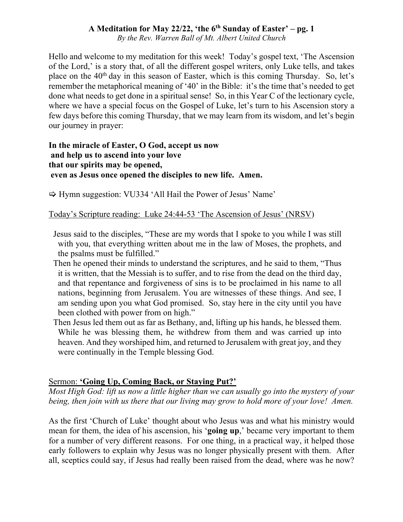### **A Meditation for May 22/22, 'the 6th Sunday of Easter' – pg. 1**

*By the Rev. Warren Ball of Mt. Albert United Church*

Hello and welcome to my meditation for this week! Today's gospel text, 'The Ascension of the Lord,' is a story that, of all the different gospel writers, only Luke tells, and takes place on the 40<sup>th</sup> day in this season of Easter, which is this coming Thursday. So, let's remember the metaphorical meaning of '40' in the Bible: it's the time that's needed to get done what needs to get done in a spiritual sense! So, in this Year C of the lectionary cycle, where we have a special focus on the Gospel of Luke, let's turn to his Ascension story a few days before this coming Thursday, that we may learn from its wisdom, and let's begin our journey in prayer:

#### **In the miracle of Easter, O God, accept us now and help us to ascend into your love that our spirits may be opened, even as Jesus once opened the disciples to new life. Amen.**

 $\Rightarrow$  Hymn suggestion: VU334 'All Hail the Power of Jesus' Name'

Today's Scripture reading: Luke 24:44-53 'The Ascension of Jesus' (NRSV)

- Jesus said to the disciples, "These are my words that I spoke to you while I was still with you, that everything written about me in the law of Moses, the prophets, and the psalms must be fulfilled."
- Then he opened their minds to understand the scriptures, and he said to them, "Thus it is written, that the Messiah is to suffer, and to rise from the dead on the third day, and that repentance and forgiveness of sins is to be proclaimed in his name to all nations, beginning from Jerusalem. You are witnesses of these things. And see, I am sending upon you what God promised. So, stay here in the city until you have been clothed with power from on high."
- Then Jesus led them out as far as Bethany, and, lifting up his hands, he blessed them. While he was blessing them, he withdrew from them and was carried up into heaven. And they worshiped him, and returned to Jerusalem with great joy, and they were continually in the Temple blessing God.

### Sermon: **'Going Up, Coming Back, or Staying Put?'**

*Most High God: lift us now a little higher than we can usually go into the mystery of your being, then join with us there that our living may grow to hold more of your love! Amen.*

As the first 'Church of Luke' thought about who Jesus was and what his ministry would mean for them, the idea of his ascension, his '**going up**,' became very important to them for a number of very different reasons. For one thing, in a practical way, it helped those early followers to explain why Jesus was no longer physically present with them. After all, sceptics could say, if Jesus had really been raised from the dead, where was he now?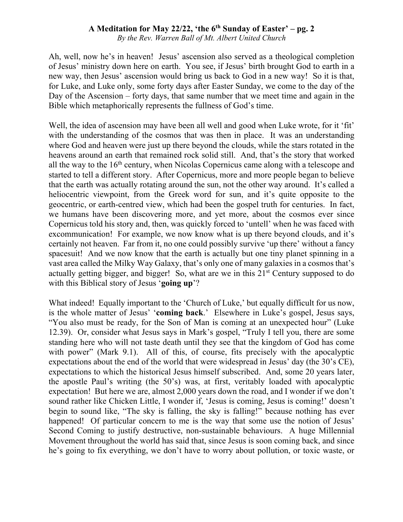# **A Meditation for May 22/22, 'the 6th Sunday of Easter' – pg. 2**

*By the Rev. Warren Ball of Mt. Albert United Church*

Ah, well, now he's in heaven! Jesus' ascension also served as a theological completion of Jesus' ministry down here on earth. You see, if Jesus' birth brought God to earth in a new way, then Jesus' ascension would bring us back to God in a new way! So it is that, for Luke, and Luke only, some forty days after Easter Sunday, we come to the day of the Day of the Ascension – forty days, that same number that we meet time and again in the Bible which metaphorically represents the fullness of God's time.

Well, the idea of ascension may have been all well and good when Luke wrote, for it 'fit' with the understanding of the cosmos that was then in place. It was an understanding where God and heaven were just up there beyond the clouds, while the stars rotated in the heavens around an earth that remained rock solid still. And, that's the story that worked all the way to the  $16<sup>th</sup>$  century, when Nicolas Copernicus came along with a telescope and started to tell a different story. After Copernicus, more and more people began to believe that the earth was actually rotating around the sun, not the other way around. It's called a heliocentric viewpoint, from the Greek word for sun, and it's quite opposite to the geocentric, or earth-centred view, which had been the gospel truth for centuries. In fact, we humans have been discovering more, and yet more, about the cosmos ever since Copernicus told his story and, then, was quickly forced to 'untell' when he was faced with excommunication! For example, we now know what is up there beyond clouds, and it's certainly not heaven. Far from it, no one could possibly survive 'up there' without a fancy spacesuit! And we now know that the earth is actually but one tiny planet spinning in a vast area called the Milky Way Galaxy, that's only one of many galaxies in a cosmos that's actually getting bigger, and bigger! So, what are we in this  $21<sup>st</sup>$  Century supposed to do with this Biblical story of Jesus '**going up**'?

What indeed! Equally important to the 'Church of Luke,' but equally difficult for us now, is the whole matter of Jesus' '**coming back**.' Elsewhere in Luke's gospel, Jesus says, "You also must be ready, for the Son of Man is coming at an unexpected hour" (Luke 12.39). Or, consider what Jesus says in Mark's gospel, "Truly I tell you, there are some standing here who will not taste death until they see that the kingdom of God has come with power" (Mark 9.1). All of this, of course, fits precisely with the apocalyptic expectations about the end of the world that were widespread in Jesus' day (the 30's CE), expectations to which the historical Jesus himself subscribed. And, some 20 years later, the apostle Paul's writing (the 50's) was, at first, veritably loaded with apocalyptic expectation! But here we are, almost 2,000 years down the road, and I wonder if we don't sound rather like Chicken Little, I wonder if, 'Jesus is coming, Jesus is coming!' doesn't begin to sound like, "The sky is falling, the sky is falling!" because nothing has ever happened! Of particular concern to me is the way that some use the notion of Jesus' Second Coming to justify destructive, non-sustainable behaviours. A huge Millennial Movement throughout the world has said that, since Jesus is soon coming back, and since he's going to fix everything, we don't have to worry about pollution, or toxic waste, or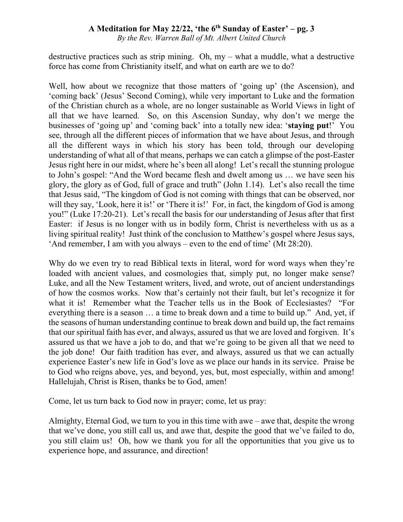# **A Meditation for May 22/22, 'the 6th Sunday of Easter' – pg. 3**

*By the Rev. Warren Ball of Mt. Albert United Church*

destructive practices such as strip mining. Oh, my – what a muddle, what a destructive force has come from Christianity itself, and what on earth are we to do?

Well, how about we recognize that those matters of 'going up' (the Ascension), and 'coming back' (Jesus' Second Coming), while very important to Luke and the formation of the Christian church as a whole, are no longer sustainable as World Views in light of all that we have learned. So, on this Ascension Sunday, why don't we merge the businesses of 'going up' and 'coming back' into a totally new idea: '**staying put**!' You see, through all the different pieces of information that we have about Jesus, and through all the different ways in which his story has been told, through our developing understanding of what all of that means, perhaps we can catch a glimpse of the post-Easter Jesus right here in our midst, where he's been all along! Let's recall the stunning prologue to John's gospel: "And the Word became flesh and dwelt among us … we have seen his glory, the glory as of God, full of grace and truth" (John 1.14). Let's also recall the time that Jesus said, "The kingdom of God is not coming with things that can be observed, nor will they say, 'Look, here it is!' or 'There it is!' For, in fact, the kingdom of God is among you!" (Luke 17:20-21). Let's recall the basis for our understanding of Jesus after that first Easter: if Jesus is no longer with us in bodily form, Christ is nevertheless with us as a living spiritual reality! Just think of the conclusion to Matthew's gospel where Jesus says, 'And remember, I am with you always – even to the end of time' (Mt 28:20).

Why do we even try to read Biblical texts in literal, word for word ways when they're loaded with ancient values, and cosmologies that, simply put, no longer make sense? Luke, and all the New Testament writers, lived, and wrote, out of ancient understandings of how the cosmos works. Now that's certainly not their fault, but let's recognize it for what it is! Remember what the Teacher tells us in the Book of Ecclesiastes? "For everything there is a season … a time to break down and a time to build up." And, yet, if the seasons of human understanding continue to break down and build up, the fact remains that our spiritual faith has ever, and always, assured us that we are loved and forgiven. It's assured us that we have a job to do, and that we're going to be given all that we need to the job done! Our faith tradition has ever, and always, assured us that we can actually experience Easter's new life in God's love as we place our hands in its service. Praise be to God who reigns above, yes, and beyond, yes, but, most especially, within and among! Hallelujah, Christ is Risen, thanks be to God, amen!

Come, let us turn back to God now in prayer; come, let us pray:

Almighty, Eternal God, we turn to you in this time with awe – awe that, despite the wrong that we've done, you still call us, and awe that, despite the good that we've failed to do, you still claim us! Oh, how we thank you for all the opportunities that you give us to experience hope, and assurance, and direction!